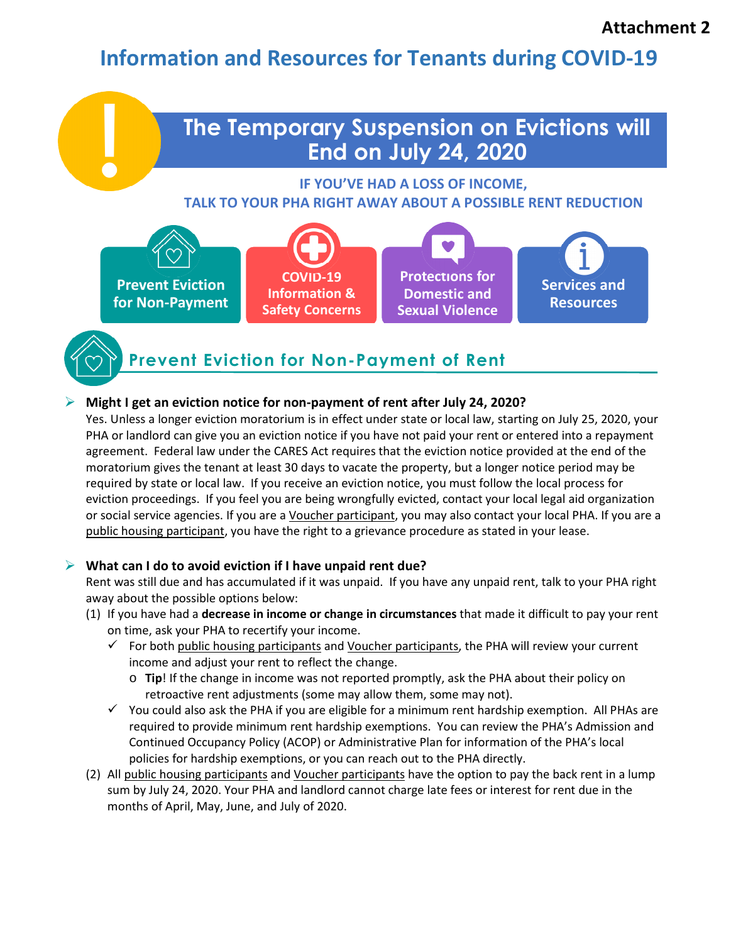# **Information and Resources for Tenants during COVID-19**

## **The Temporary Suspension on Evictions will End on July 24, 2020**

**IF YOU'VE HAD A LOSS OF INCOME, TALK TO YOUR PHA RIGHT AWAY ABOUT A POSSIBLE RENT REDUCTION** 



### **Prevent Eviction for Non-Payment of Rent**

#### **Might I get an eviction notice for non-payment of rent after July 24, 2020?**

Yes. Unless a longer eviction moratorium is in effect under state or local law, starting on July 25, 2020, your PHA or landlord can give you an eviction notice if you have not paid your rent or entered into a repayment agreement. Federal law under the CARES Act requires that the eviction notice provided at the end of the moratorium gives the tenant at least 30 days to vacate the property, but a longer notice period may be required by state or local law. If you receive an eviction notice, you must follow the local process for eviction proceedings. If you feel you are being wrongfully evicted, contact your local legal aid organization or social service agencies. If you are a Voucher participant, you may also contact your local PHA. If you are a public housing participant, you have the right to a grievance procedure as stated in your lease.

#### **What can I do to avoid eviction if I have unpaid rent due?**

Rent was still due and has accumulated if it was unpaid. If you have any unpaid rent, talk to your PHA right away about the possible options below:

- (1) If you have had a **decrease in income or change in circumstances** that made it difficult to pay your rent on time, ask your PHA to recertify your income.
	- $\checkmark$  For both public housing participants and Voucher participants, the PHA will review your current income and adjust your rent to reflect the change.
		- o **Tip**! If the change in income was not reported promptly, ask the PHA about their policy on retroactive rent adjustments (some may allow them, some may not).
	- $\checkmark$  You could also ask the PHA if you are eligible for a minimum rent hardship exemption. All PHAs are required to provide minimum rent hardship exemptions. You can review the PHA's Admission and Continued Occupancy Policy (ACOP) or Administrative Plan for information of the PHA's local policies for hardship exemptions, or you can reach out to the PHA directly.
- (2) All public housing participants and Voucher participants have the option to pay the back rent in a lump sum by July 24, 2020. Your PHA and landlord cannot charge late fees or interest for rent due in the months of April, May, June, and July of 2020.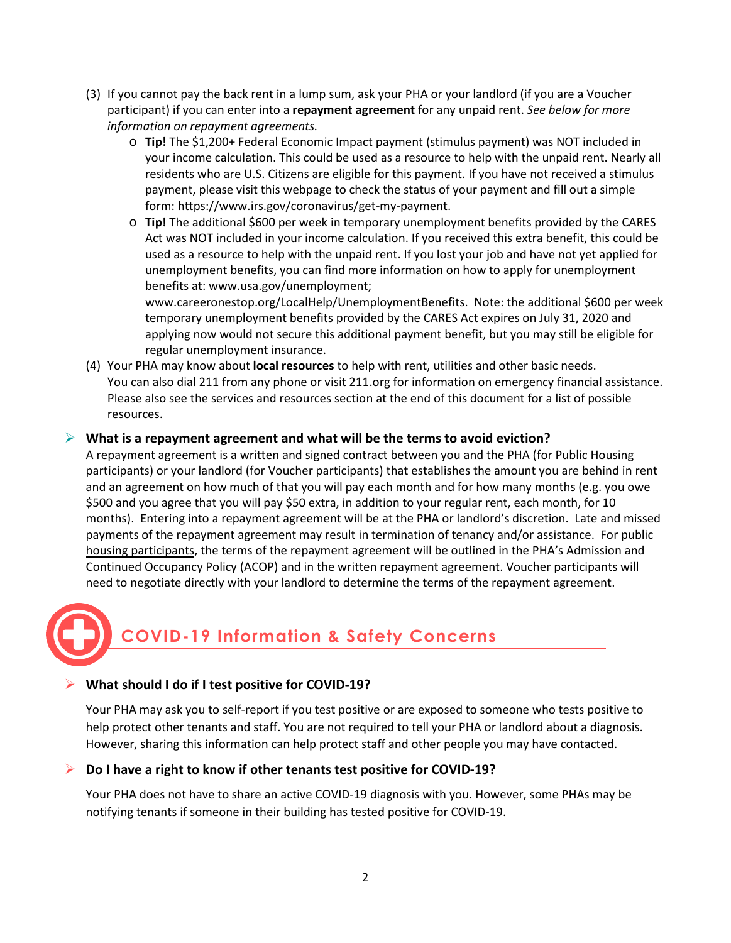- (3) If you cannot pay the back rent in a lump sum, ask your PHA or your landlord (if you are a Voucher participant) if you can enter into a **repayment agreement** for any unpaid rent. *See below for more information on repayment agreements.*
	- o **Tip!** The \$1,200+ Federal Economic Impact payment (stimulus payment) was NOT included in your income calculation. This could be used as a resource to help with the unpaid rent. Nearly all residents who are U.S. Citizens are eligible for this payment. If you have not received a stimulus payment, please visit this webpage to check the status of your payment and fill out a simple form[: https://www.irs.gov/coronavirus/get-my-payment.](https://www.irs.gov/coronavirus/get-my-payment)
	- o **Tip!** The additional \$600 per week in temporary unemployment benefits provided by the CARES Act was NOT included in your income calculation. If you received this extra benefit, this could be used as a resource to help with the unpaid rent. If you lost your job and have not yet applied for unemployment benefits, you can find more information on how to apply for unemployment benefits at[: www.usa.gov/unemployment;](http://www.usa.gov/unemployment)

[www.careeronestop.org/LocalHelp/UnemploymentBenefits.](http://www.careeronestop.org/LocalHelp/UnemploymentBenefits) Note: the additional \$600 per week temporary unemployment benefits provided by the CARES Act expires on July 31, 2020 and applying now would not secure this additional payment benefit, but you may still be eligible for regular unemployment insurance.

(4) Your PHA may know about **local resources** to help with rent, utilities and other basic needs. You can also dial 211 from any phone or visit 211.org for information on emergency financial assistance. Please also see the services and resources section at the end of this document for a list of possible resources.

#### **What is a repayment agreement and what will be the terms to avoid eviction?**

A repayment agreement is a written and signed contract between you and the PHA (for Public Housing participants) or your landlord (for Voucher participants) that establishes the amount you are behind in rent and an agreement on how much of that you will pay each month and for how many months (e.g. you owe \$500 and you agree that you will pay \$50 extra, in addition to your regular rent, each month, for 10 months). Entering into a repayment agreement will be at the PHA or landlord's discretion. Late and missed payments of the repayment agreement may result in termination of tenancy and/or assistance. For public housing participants, the terms of the repayment agreement will be outlined in the PHA's Admission and Continued Occupancy Policy (ACOP) and in the written repayment agreement. Voucher participants will need to negotiate directly with your landlord to determine the terms of the repayment agreement.

# **COVID-19 Information & Safety Concerns**

#### **What should I do if I test positive for COVID-19?**

Your PHA may ask you to self-report if you test positive or are exposed to someone who tests positive to help protect other tenants and staff. You are not required to tell your PHA or landlord about a diagnosis. However, sharing this information can help protect staff and other people you may have contacted.

#### **Do I have a right to know if other tenants test positive for COVID-19?**

Your PHA does not have to share an active COVID-19 diagnosis with you. However, some PHAs may be notifying tenants if someone in their building has tested positive for COVID-19.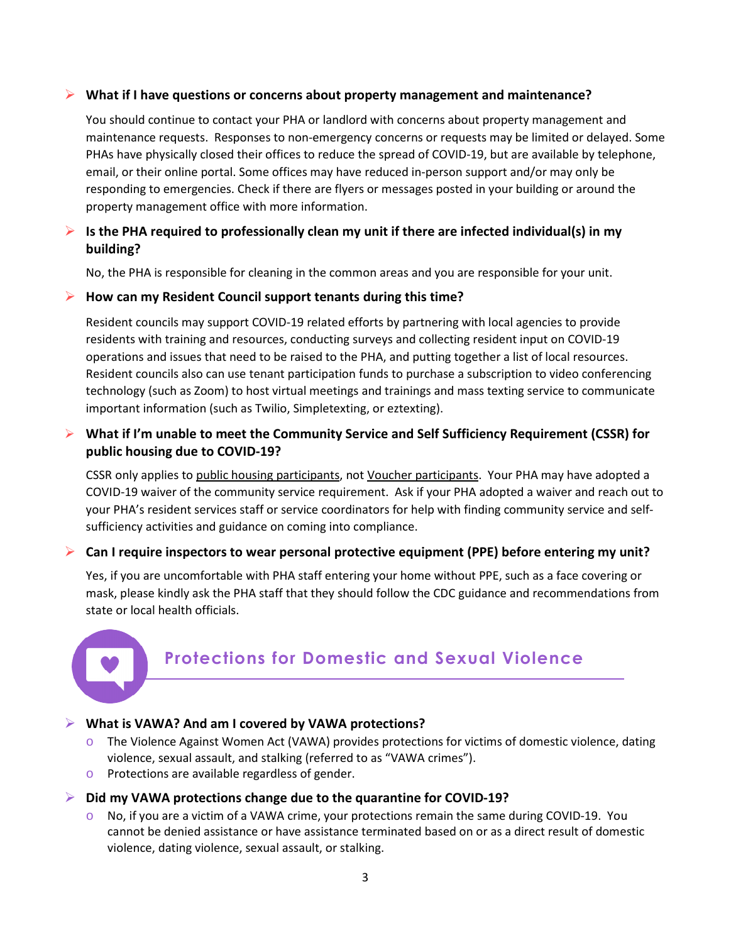#### **What if I have questions or concerns about property management and maintenance?**

You should continue to contact your PHA or landlord with concerns about property management and maintenance requests. Responses to non-emergency concerns or requests may be limited or delayed. Some PHAs have physically closed their offices to reduce the spread of COVID-19, but are available by telephone, email, or their online portal. Some offices may have reduced in-person support and/or may only be responding to emergencies. Check if there are flyers or messages posted in your building or around the property management office with more information.

#### **Is the PHA required to professionally clean my unit if there are infected individual(s) in my building?**

No, the PHA is responsible for cleaning in the common areas and you are responsible for your unit.

#### **How can my Resident Council support tenants during this time?**

Resident councils may support COVID-19 related efforts by partnering with local agencies to provide residents with training and resources, conducting surveys and collecting resident input on COVID-19 operations and issues that need to be raised to the PHA, and putting together a list of local resources. Resident councils also can use tenant participation funds to purchase a subscription to video conferencing technology (such as Zoom) to host virtual meetings and trainings and mass texting service to communicate important information (such as Twilio, Simpletexting, or eztexting).

#### **What if I'm unable to meet the Community Service and Self Sufficiency Requirement (CSSR) for public housing due to COVID-19?**

CSSR only applies to public housing participants, not Voucher participants. Your PHA may have adopted a COVID-19 waiver of the community service requirement. Ask if your PHA adopted a waiver and reach out to your PHA's resident services staff or service coordinators for help with finding community service and selfsufficiency activities and guidance on coming into compliance.

#### **Can I require inspectors to wear personal protective equipment (PPE) before entering my unit?**

Yes, if you are uncomfortable with PHA staff entering your home without PPE, such as a face covering or mask, please kindly ask the PHA staff that they should follow the CDC guidance and recommendations from state or local health officials.



## **Protections for Domestic and Sexual Violence**

#### **What is VAWA? And am I covered by VAWA protections?**

- $\circ$  The Violence Against Women Act (VAWA) provides protections for victims of domestic violence, dating violence, sexual assault, and stalking (referred to as "VAWA crimes").
- o Protections are available regardless of gender.

#### **Did my VAWA protections change due to the quarantine for COVID-19?**

 $\circ$  No, if you are a victim of a VAWA crime, your protections remain the same during COVID-19. You cannot be denied assistance or have assistance terminated based on or as a direct result of domestic violence, dating violence, sexual assault, or stalking.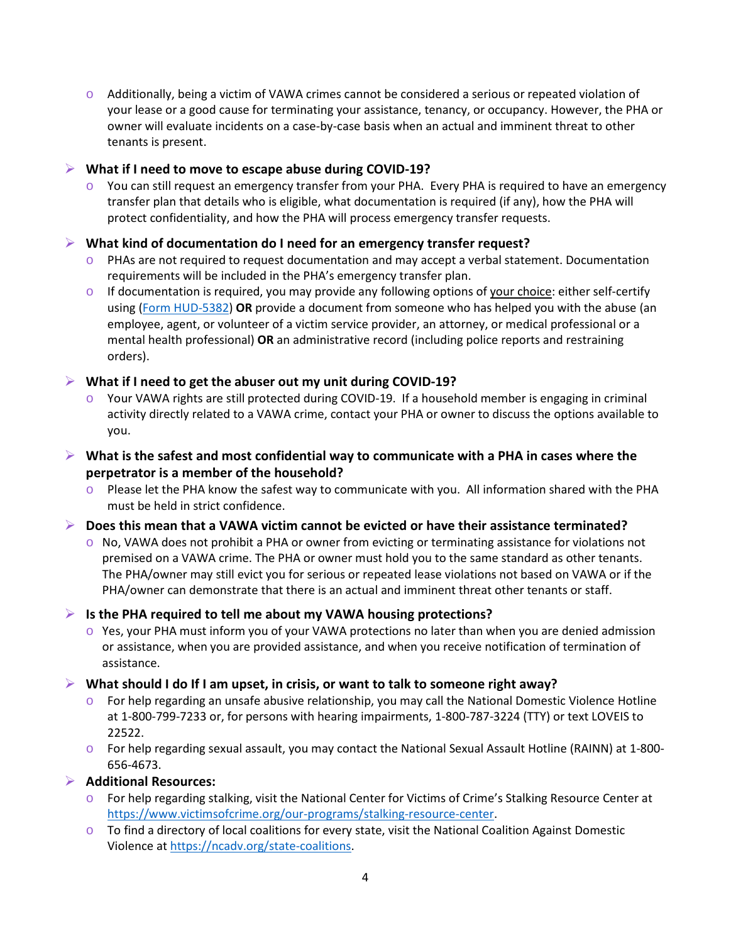$\circ$  Additionally, being a victim of VAWA crimes cannot be considered a serious or repeated violation of your lease or a good cause for terminating your assistance, tenancy, or occupancy. However, the PHA or owner will evaluate incidents on a case-by-case basis when an actual and imminent threat to other tenants is present.

#### **What if I need to move to escape abuse during COVID-19?**

 $\circ$  You can still request an emergency transfer from your PHA. Every PHA is required to have an emergency transfer plan that details who is eligible, what documentation is required (if any), how the PHA will protect confidentiality, and how the PHA will process emergency transfer requests.

#### **What kind of documentation do I need for an emergency transfer request?**

- $\circ$  PHAs are not required to request documentation and may accept a verbal statement. Documentation requirements will be included in the PHA's emergency transfer plan.
- $\circ$  If documentation is required, you may provide any following options of your choice: either self-certify using [\(Form HUD-5382\)](https://www.hud.gov/sites/documents/5382.docx) **OR** provide a document from someone who has helped you with the abuse (an employee, agent, or volunteer of a victim service provider, an attorney, or medical professional or a mental health professional) **OR** an administrative record (including police reports and restraining orders).

#### **What if I need to get the abuser out my unit during COVID-19?**

- Your VAWA rights are still protected during COVID-19. If a household member is engaging in criminal activity directly related to a VAWA crime, contact your PHA or owner to discuss the options available to you.
- **What is the safest and most confidential way to communicate with a PHA in cases where the perpetrator is a member of the household?** 
	- o Please let the PHA know the safest way to communicate with you. All information shared with the PHA must be held in strict confidence.
- **Does this mean that a VAWA victim cannot be evicted or have their assistance terminated?**
	- $\circ$  No, VAWA does not prohibit a PHA or owner from evicting or terminating assistance for violations not premised on a VAWA crime. The PHA or owner must hold you to the same standard as other tenants. The PHA/owner may still evict you for serious or repeated lease violations not based on VAWA or if the PHA/owner can demonstrate that there is an actual and imminent threat other tenants or staff.

#### **Is the PHA required to tell me about my VAWA housing protections?**

 $\circ$  Yes, your PHA must inform you of your VAWA protections no later than when you are denied admission or assistance, when you are provided assistance, and when you receive notification of termination of assistance.

#### **What should I do If I am upset, in crisis, or want to talk to someone right away?**

- $\circ$  For help regarding an unsafe abusive relationship, you may call the National Domestic Violence Hotline at 1-800-799-7233 or, for persons with hearing impairments, 1-800-787-3224 (TTY) or text LOVEIS to 22522.
- o For help regarding sexual assault, you may contact the National Sexual Assault Hotline (RAINN) at 1-800- 656-4673.

#### **Additional Resources:**

- o For help regarding stalking, visit the National Center for Victims of Crime's Stalking Resource Center at [https://www.victimsofcrime.org/our-programs/stalking-resource-center.](https://www.victimsofcrime.org/our-programs/stalking-resource-center)
- $\circ$  To find a directory of local coalitions for every state, visit the National Coalition Against Domestic Violence a[t https://ncadv.org/state-coalitions.](https://ncadv.org/state-coalitions)